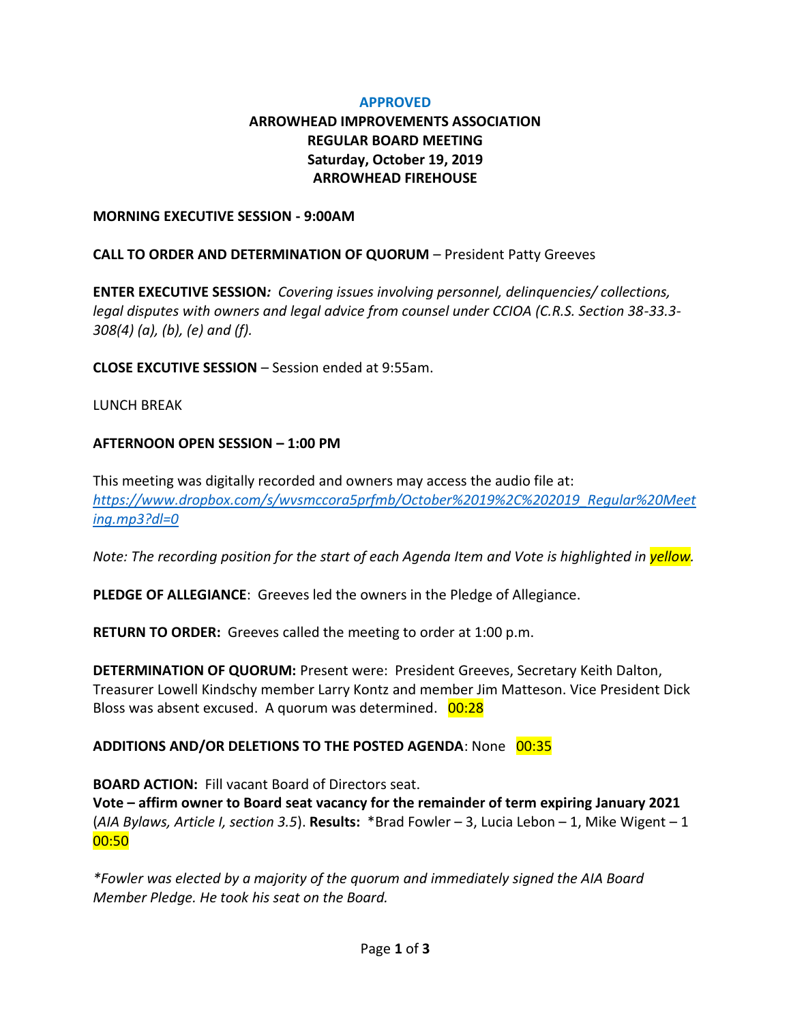### **APPROVED**

# **ARROWHEAD IMPROVEMENTS ASSOCIATION REGULAR BOARD MEETING Saturday, October 19, 2019 ARROWHEAD FIREHOUSE**

#### **MORNING EXECUTIVE SESSION - 9:00AM**

### **CALL TO ORDER AND DETERMINATION OF QUORUM** – President Patty Greeves

**ENTER EXECUTIVE SESSION***: Covering issues involving personnel, delinquencies/ collections, legal disputes with owners and legal advice from counsel under CCIOA (C.R.S. Section 38-33.3- 308(4) (a), (b), (e) and (f).* 

**CLOSE EXCUTIVE SESSION** – Session ended at 9:55am.

### LUNCH BREAK

### **AFTERNOON OPEN SESSION – 1:00 PM**

This meeting was digitally recorded and owners may access the audio file at: *[https://www.dropbox.com/s/wvsmccora5prfmb/October%2019%2C%202019\\_Regular%20Meet](https://www.dropbox.com/s/wvsmccora5prfmb/October%2019%2C%202019_Regular%20Meeting.mp3?dl=0) [ing.mp3?dl=0](https://www.dropbox.com/s/wvsmccora5prfmb/October%2019%2C%202019_Regular%20Meeting.mp3?dl=0)*

*Note: The recording position for the start of each Agenda Item and Vote is highlighted in yellow.*

**PLEDGE OF ALLEGIANCE**: Greeves led the owners in the Pledge of Allegiance.

**RETURN TO ORDER:** Greeves called the meeting to order at 1:00 p.m.

**DETERMINATION OF QUORUM:** Present were: President Greeves, Secretary Keith Dalton, Treasurer Lowell Kindschy member Larry Kontz and member Jim Matteson. Vice President Dick Bloss was absent excused. A quorum was determined. 00:28

### **ADDITIONS AND/OR DELETIONS TO THE POSTED AGENDA: None 00:35**

**BOARD ACTION:** Fill vacant Board of Directors seat. **Vote – affirm owner to Board seat vacancy for the remainder of term expiring January 2021**  (*AIA Bylaws, Article I, section 3.5*). **Results:** \*Brad Fowler – 3, Lucia Lebon – 1, Mike Wigent – 1 00:50

*\*Fowler was elected by a majority of the quorum and immediately signed the AIA Board Member Pledge. He took his seat on the Board.*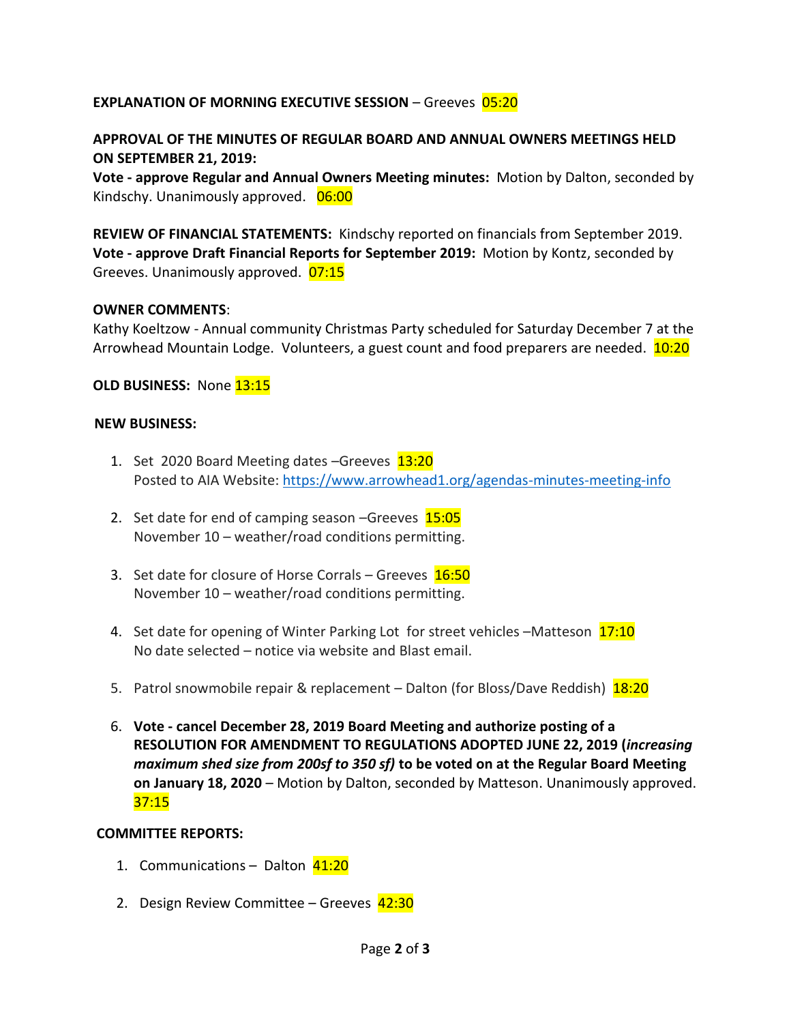## **EXPLANATION OF MORNING EXECUTIVE SESSION – Greeves 05:20**

## **APPROVAL OF THE MINUTES OF REGULAR BOARD AND ANNUAL OWNERS MEETINGS HELD ON SEPTEMBER 21, 2019:**

**Vote - approve Regular and Annual Owners Meeting minutes:** Motion by Dalton, seconded by Kindschy. Unanimously approved. 06:00

**REVIEW OF FINANCIAL STATEMENTS:** Kindschy reported on financials from September 2019. **Vote - approve Draft Financial Reports for September 2019:** Motion by Kontz, seconded by Greeves. Unanimously approved. 07:15

## **OWNER COMMENTS**:

Kathy Koeltzow - Annual community Christmas Party scheduled for Saturday December 7 at the Arrowhead Mountain Lodge. Volunteers, a guest count and food preparers are needed. 10:20

**OLD BUSINESS: None 13:15** 

## **NEW BUSINESS:**

- 1. Set 2020 Board Meeting dates -Greeves 13:20 Posted to AIA Website[: https://www.arrowhead1.org/agendas-minutes-meeting-info](https://www.arrowhead1.org/agendas-minutes-meeting-info)
- 2. Set date for end of camping season –Greeves 15:05 November 10 – weather/road conditions permitting.
- 3. Set date for closure of Horse Corrals Greeves 16:50 November 10 – weather/road conditions permitting.
- 4. Set date for opening of Winter Parking Lot for street vehicles -Matteson 17:10 No date selected – notice via website and Blast email.
- 5. Patrol snowmobile repair & replacement Dalton (for Bloss/Dave Reddish) 18:20
- 6. **Vote - cancel December 28, 2019 Board Meeting and authorize posting of a RESOLUTION FOR AMENDMENT TO REGULATIONS ADOPTED JUNE 22, 2019 (***increasing maximum shed size from 200sf to 350 sf)* **to be voted on at the Regular Board Meeting on January 18, 2020** – Motion by Dalton, seconded by Matteson. Unanimously approved.  $37:15$

## **COMMITTEE REPORTS:**

- 1. Communications Dalton 41:20
- 2. Design Review Committee Greeves 42:30